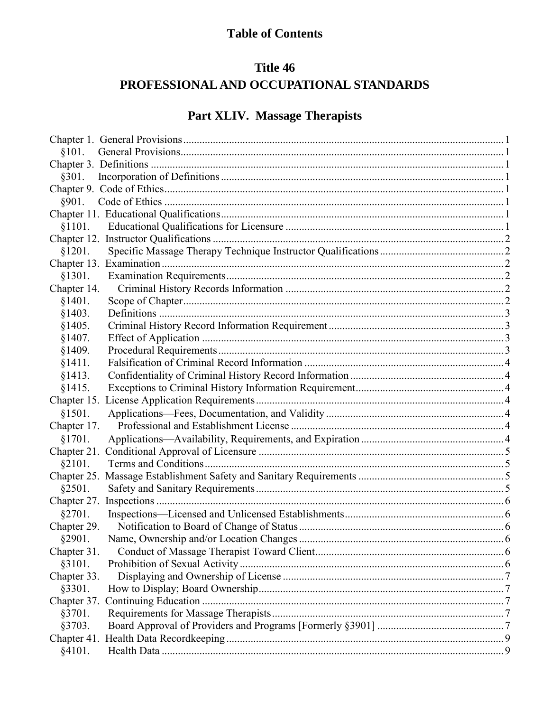# **Table of Contents**

# Title 46 PROFESSIONAL AND OCCUPATIONAL STANDARDS

# Part XLIV. Massage Therapists

| \$101.      |  |
|-------------|--|
|             |  |
| §301.       |  |
|             |  |
| §901.       |  |
|             |  |
| \$1101.     |  |
|             |  |
| §1201.      |  |
|             |  |
| §1301.      |  |
| Chapter 14. |  |
| §1401.      |  |
| §1403.      |  |
| §1405.      |  |
| §1407.      |  |
| §1409.      |  |
| §1411.      |  |
| §1413.      |  |
| §1415.      |  |
|             |  |
| §1501.      |  |
| Chapter 17. |  |
| §1701.      |  |
|             |  |
| §2101.      |  |
|             |  |
| §2501.      |  |
|             |  |
| §2701.      |  |
| Chapter 29. |  |
| §2901.      |  |
| Chapter 31. |  |
| §3101.      |  |
| Chapter 33. |  |
| §3301.      |  |
| Chapter 37. |  |
| §3701.      |  |
| §3703.      |  |
|             |  |
| §4101.      |  |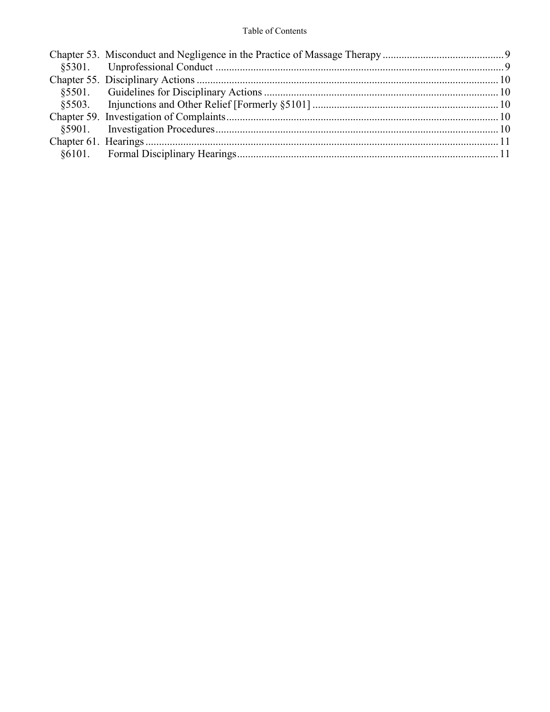### Table of Contents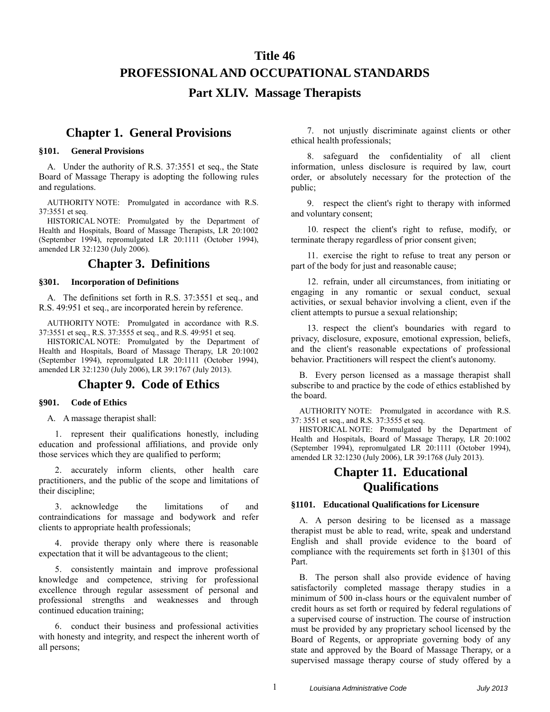### **Title 46**

## **PROFESSIONAL AND OCCUPATIONAL STANDARDS**

### **Part XLIV. Massage Therapists**

### <span id="page-2-0"></span>**Chapter 1. General Provisions**

#### <span id="page-2-2"></span><span id="page-2-1"></span>**§101. General Provisions**

A. Under the authority of R.S. 37:3551 et seq., the State Board of Massage Therapy is adopting the following rules and regulations.

AUTHORITY NOTE: Promulgated in accordance with R.S. 37:3551 et seq.

HISTORICAL NOTE: Promulgated by the Department of Health and Hospitals, Board of Massage Therapists, LR 20:1002 (September 1994), repromulgated LR 20:1111 (October 1994), amended LR 32:1230 (July 2006).

### **Chapter 3. Definitions**

#### <span id="page-2-4"></span><span id="page-2-3"></span>**§301. Incorporation of Definitions**

A. The definitions set forth in R.S. 37:3551 et seq., and R.S. 49:951 et seq., are incorporated herein by reference.

AUTHORITY NOTE: Promulgated in accordance with R.S. 37:3551 et seq., R.S. 37:3555 et seq., and R.S. 49:951 et seq.

HISTORICAL NOTE: Promulgated by the Department of Health and Hospitals, Board of Massage Therapy, LR 20:1002 (September 1994), repromulgated LR 20:1111 (October 1994), amended LR 32:1230 (July 2006), LR 39:1767 (July 2013).

### **Chapter 9. Code of Ethics**

#### <span id="page-2-6"></span><span id="page-2-5"></span>**§901. Code of Ethics**

A. A massage therapist shall:

1. represent their qualifications honestly, including education and professional affiliations, and provide only those services which they are qualified to perform;

2. accurately inform clients, other health care practitioners, and the public of the scope and limitations of their discipline;

3. acknowledge the limitations of and contraindications for massage and bodywork and refer clients to appropriate health professionals;

4. provide therapy only where there is reasonable expectation that it will be advantageous to the client;

5. consistently maintain and improve professional knowledge and competence, striving for professional excellence through regular assessment of personal and professional strengths and weaknesses and through continued education training;

6. conduct their business and professional activities with honesty and integrity, and respect the inherent worth of all persons;

7. not unjustly discriminate against clients or other ethical health professionals;

8. safeguard the confidentiality of all client information, unless disclosure is required by law, court order, or absolutely necessary for the protection of the public;

9. respect the client's right to therapy with informed and voluntary consent;

10. respect the client's right to refuse, modify, or terminate therapy regardless of prior consent given;

11. exercise the right to refuse to treat any person or part of the body for just and reasonable cause;

12. refrain, under all circumstances, from initiating or engaging in any romantic or sexual conduct, sexual activities, or sexual behavior involving a client, even if the client attempts to pursue a sexual relationship;

13. respect the client's boundaries with regard to privacy, disclosure, exposure, emotional expression, beliefs, and the client's reasonable expectations of professional behavior. Practitioners will respect the client's autonomy.

B. Every person licensed as a massage therapist shall subscribe to and practice by the code of ethics established by the board.

AUTHORITY NOTE: Promulgated in accordance with R.S. 37: 3551 et seq., and R.S. 37:3555 et seq.

HISTORICAL NOTE: Promulgated by the Department of Health and Hospitals, Board of Massage Therapy, LR 20:1002 (September 1994), repromulgated LR 20:1111 (October 1994), amended LR 32:1230 (July 2006), LR 39:1768 (July 2013).

## **Chapter 11. Educational Qualifications**

#### <span id="page-2-8"></span><span id="page-2-7"></span>**§1101. Educational Qualifications for Licensure**

A. A person desiring to be licensed as a massage therapist must be able to read, write, speak and understand English and shall provide evidence to the board of compliance with the requirements set forth in §1301 of this Part.

B. The person shall also provide evidence of having satisfactorily completed massage therapy studies in a minimum of 500 in-class hours or the equivalent number of credit hours as set forth or required by federal regulations of a supervised course of instruction. The course of instruction must be provided by any proprietary school licensed by the Board of Regents, or appropriate governing body of any state and approved by the Board of Massage Therapy, or a supervised massage therapy course of study offered by a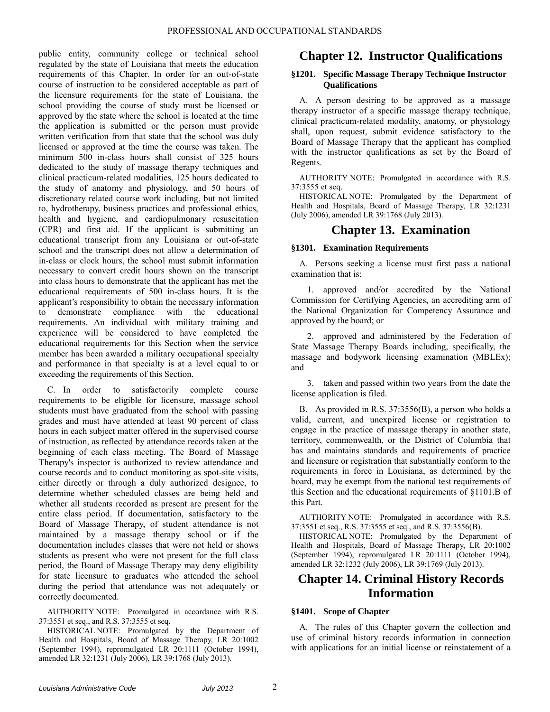public entity, community college or technical school regulated by the state of Louisiana that meets the education requirements of this Chapter. In order for an out-of-state course of instruction to be considered acceptable as part of the licensure requirements for the state of Louisiana, the school providing the course of study must be licensed or approved by the state where the school is located at the time the application is submitted or the person must provide written verification from that state that the school was duly licensed or approved at the time the course was taken. The minimum 500 in-class hours shall consist of 325 hours dedicated to the study of massage therapy techniques and clinical practicum-related modalities, 125 hours dedicated to the study of anatomy and physiology, and 50 hours of discretionary related course work including, but not limited to, hydrotherapy, business practices and professional ethics, health and hygiene, and cardiopulmonary resuscitation (CPR) and first aid. If the applicant is submitting an educational transcript from any Louisiana or out-of-state school and the transcript does not allow a determination of in-class or clock hours, the school must submit information necessary to convert credit hours shown on the transcript into class hours to demonstrate that the applicant has met the educational requirements of 500 in-class hours. It is the applicant's responsibility to obtain the necessary information to demonstrate compliance with the educational requirements. An individual with military training and experience will be considered to have completed the educational requirements for this Section when the service member has been awarded a military occupational specialty and performance in that specialty is at a level equal to or exceeding the requirements of this Section.

C. In order to satisfactorily complete course requirements to be eligible for licensure, massage school students must have graduated from the school with passing grades and must have attended at least 90 percent of class hours in each subject matter offered in the supervised course of instruction, as reflected by attendance records taken at the beginning of each class meeting. The Board of Massage Therapy's inspector is authorized to review attendance and course records and to conduct monitoring as spot-site visits, either directly or through a duly authorized designee, to determine whether scheduled classes are being held and whether all students recorded as present are present for the entire class period. If documentation, satisfactory to the Board of Massage Therapy, of student attendance is not maintained by a massage therapy school or if the documentation includes classes that were not held or shows students as present who were not present for the full class period, the Board of Massage Therapy may deny eligibility for state licensure to graduates who attended the school during the period that attendance was not adequately or correctly documented.

AUTHORITY NOTE: Promulgated in accordance with R.S. 37:3551 et seq., and R.S. 37:3555 et seq.

HISTORICAL NOTE: Promulgated by the Department of Health and Hospitals, Board of Massage Therapy, LR 20:1002 (September 1994), repromulgated LR 20:1111 (October 1994), amended LR 32:1231 (July 2006), LR 39:1768 (July 2013).

## <span id="page-3-0"></span>**Chapter 12. Instructor Qualifications**

#### <span id="page-3-1"></span>**§1201. Specific Massage Therapy Technique Instructor Qualifications**

A. A person desiring to be approved as a massage therapy instructor of a specific massage therapy technique, clinical practicum-related modality, anatomy, or physiology shall, upon request, submit evidence satisfactory to the Board of Massage Therapy that the applicant has complied with the instructor qualifications as set by the Board of Regents.

AUTHORITY NOTE: Promulgated in accordance with R.S. 37:3555 et seq.

HISTORICAL NOTE: Promulgated by the Department of Health and Hospitals, Board of Massage Therapy, LR 32:1231 (July 2006), amended LR 39:1768 (July 2013).

## **Chapter 13. Examination**

### <span id="page-3-3"></span><span id="page-3-2"></span>**§1301. Examination Requirements**

A. Persons seeking a license must first pass a national examination that is:

1. approved and/or accredited by the National Commission for Certifying Agencies, an accrediting arm of the National Organization for Competency Assurance and approved by the board; or

2. approved and administered by the Federation of State Massage Therapy Boards including, specifically, the massage and bodywork licensing examination (MBLEx); and

3. taken and passed within two years from the date the license application is filed.

B. As provided in R.S. 37:3556(B), a person who holds a valid, current, and unexpired license or registration to engage in the practice of massage therapy in another state, territory, commonwealth, or the District of Columbia that has and maintains standards and requirements of practice and licensure or registration that substantially conform to the requirements in force in Louisiana, as determined by the board, may be exempt from the national test requirements of this Section and the educational requirements of §1101.B of this Part.

AUTHORITY NOTE: Promulgated in accordance with R.S. 37:3551 et seq., R.S. 37:3555 et seq., and R.S. 37:3556(B).

HISTORICAL NOTE: Promulgated by the Department of Health and Hospitals, Board of Massage Therapy, LR 20:1002 (September 1994), repromulgated LR 20:1111 (October 1994), amended LR 32:1232 (July 2006), LR 39:1769 (July 2013).

## <span id="page-3-4"></span>**Chapter 14. Criminal History Records Information**

### <span id="page-3-5"></span>**§1401. Scope of Chapter**

A. The rules of this Chapter govern the collection and use of criminal history records information in connection with applications for an initial license or reinstatement of a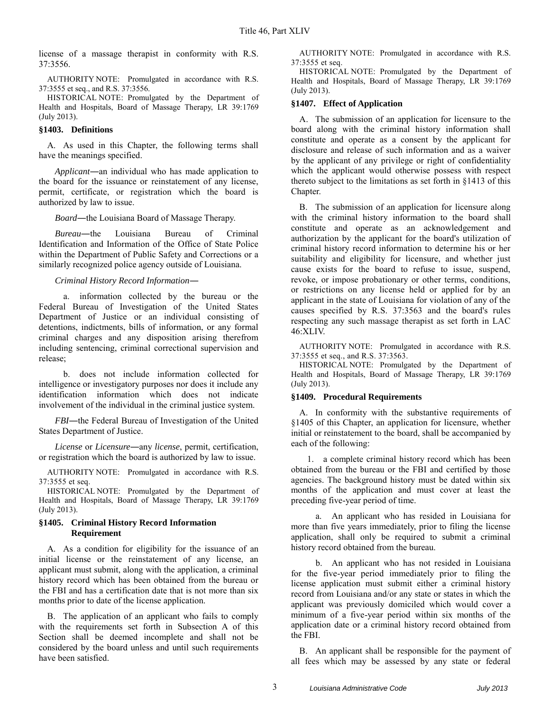license of a massage therapist in conformity with R.S. 37:3556.

AUTHORITY NOTE: Promulgated in accordance with R.S. 37:3555 et seq., and R.S. 37:3556.

HISTORICAL NOTE: Promulgated by the Department of Health and Hospitals, Board of Massage Therapy, LR 39:1769 (July 2013).

#### <span id="page-4-0"></span>**§1403. Definitions**

A. As used in this Chapter, the following terms shall have the meanings specified.

*Applicant*―an individual who has made application to the board for the issuance or reinstatement of any license, permit, certificate, or registration which the board is authorized by law to issue.

*Board*―the Louisiana Board of Massage Therapy.

*Bureau*―the Louisiana Bureau of Criminal Identification and Information of the Office of State Police within the Department of Public Safety and Corrections or a similarly recognized police agency outside of Louisiana.

#### *Criminal History Record Information*―

a. information collected by the bureau or the Federal Bureau of Investigation of the United States Department of Justice or an individual consisting of detentions, indictments, bills of information, or any formal criminal charges and any disposition arising therefrom including sentencing, criminal correctional supervision and release;

b. does not include information collected for intelligence or investigatory purposes nor does it include any identification information which does not indicate involvement of the individual in the criminal justice system.

*FBI*―the Federal Bureau of Investigation of the United States Department of Justice.

*License* or *Licensure*―any *license*, permit, certification, or registration which the board is authorized by law to issue.

AUTHORITY NOTE: Promulgated in accordance with R.S. 37:3555 et seq.

HISTORICAL NOTE: Promulgated by the Department of Health and Hospitals, Board of Massage Therapy, LR 39:1769 (July 2013).

#### <span id="page-4-1"></span>**§1405. Criminal History Record Information Requirement**

A. As a condition for eligibility for the issuance of an initial license or the reinstatement of any license, an applicant must submit, along with the application, a criminal history record which has been obtained from the bureau or the FBI and has a certification date that is not more than six months prior to date of the license application.

B. The application of an applicant who fails to comply with the requirements set forth in Subsection A of this Section shall be deemed incomplete and shall not be considered by the board unless and until such requirements have been satisfied.

AUTHORITY NOTE: Promulgated in accordance with R.S. 37:3555 et seq.

HISTORICAL NOTE: Promulgated by the Department of Health and Hospitals, Board of Massage Therapy, LR 39:1769 (July 2013).

#### <span id="page-4-2"></span>**§1407. Effect of Application**

A. The submission of an application for licensure to the board along with the criminal history information shall constitute and operate as a consent by the applicant for disclosure and release of such information and as a waiver by the applicant of any privilege or right of confidentiality which the applicant would otherwise possess with respect thereto subject to the limitations as set forth in §1413 of this Chapter.

B. The submission of an application for licensure along with the criminal history information to the board shall constitute and operate as an acknowledgement and authorization by the applicant for the board's utilization of criminal history record information to determine his or her suitability and eligibility for licensure, and whether just cause exists for the board to refuse to issue, suspend, revoke, or impose probationary or other terms, conditions, or restrictions on any license held or applied for by an applicant in the state of Louisiana for violation of any of the causes specified by R.S. 37:3563 and the board's rules respecting any such massage therapist as set forth in LAC 46:XLIV.

AUTHORITY NOTE: Promulgated in accordance with R.S. 37:3555 et seq., and R.S. 37:3563.

HISTORICAL NOTE: Promulgated by the Department of Health and Hospitals, Board of Massage Therapy, LR 39:1769 (July 2013).

#### <span id="page-4-3"></span>**§1409. Procedural Requirements**

A. In conformity with the substantive requirements of §1405 of this Chapter, an application for licensure, whether initial or reinstatement to the board, shall be accompanied by each of the following:

1. a complete criminal history record which has been obtained from the bureau or the FBI and certified by those agencies. The background history must be dated within six months of the application and must cover at least the preceding five-year period of time.

a. An applicant who has resided in Louisiana for more than five years immediately, prior to filing the license application, shall only be required to submit a criminal history record obtained from the bureau.

b. An applicant who has not resided in Louisiana for the five-year period immediately prior to filing the license application must submit either a criminal history record from Louisiana and/or any state or states in which the applicant was previously domiciled which would cover a minimum of a five-year period within six months of the application date or a criminal history record obtained from the FBI.

B. An applicant shall be responsible for the payment of all fees which may be assessed by any state or federal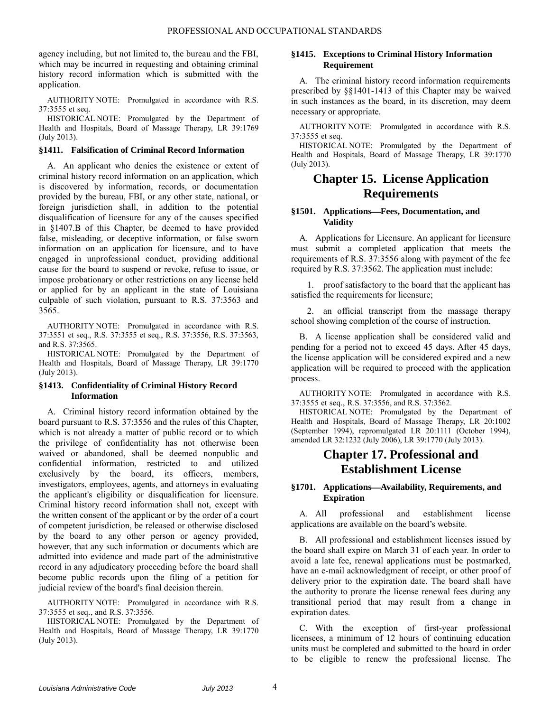agency including, but not limited to, the bureau and the FBI, which may be incurred in requesting and obtaining criminal history record information which is submitted with the application.

AUTHORITY NOTE: Promulgated in accordance with R.S. 37:3555 et seq.

HISTORICAL NOTE: Promulgated by the Department of Health and Hospitals, Board of Massage Therapy, LR 39:1769 (July 2013).

#### <span id="page-5-0"></span>**§1411. Falsification of Criminal Record Information**

A. An applicant who denies the existence or extent of criminal history record information on an application, which is discovered by information, records, or documentation provided by the bureau, FBI, or any other state, national, or foreign jurisdiction shall, in addition to the potential disqualification of licensure for any of the causes specified in §1407.B of this Chapter, be deemed to have provided false, misleading, or deceptive information, or false sworn information on an application for licensure, and to have engaged in unprofessional conduct, providing additional cause for the board to suspend or revoke, refuse to issue, or impose probationary or other restrictions on any license held or applied for by an applicant in the state of Louisiana culpable of such violation, pursuant to R.S. 37:3563 and 3565.

AUTHORITY NOTE: Promulgated in accordance with R.S. 37:3551 et seq., R.S. 37:3555 et seq., R.S. 37:3556, R.S. 37:3563, and R.S. 37:3565.

HISTORICAL NOTE: Promulgated by the Department of Health and Hospitals, Board of Massage Therapy, LR 39:1770 (July 2013).

#### <span id="page-5-1"></span>**§1413. Confidentiality of Criminal History Record Information**

A. Criminal history record information obtained by the board pursuant to R.S. 37:3556 and the rules of this Chapter, which is not already a matter of public record or to which the privilege of confidentiality has not otherwise been waived or abandoned, shall be deemed nonpublic and confidential information, restricted to and utilized exclusively by the board, its officers, members, investigators, employees, agents, and attorneys in evaluating the applicant's eligibility or disqualification for licensure. Criminal history record information shall not, except with the written consent of the applicant or by the order of a court of competent jurisdiction, be released or otherwise disclosed by the board to any other person or agency provided, however, that any such information or documents which are admitted into evidence and made part of the administrative record in any adjudicatory proceeding before the board shall become public records upon the filing of a petition for judicial review of the board's final decision therein.

AUTHORITY NOTE: Promulgated in accordance with R.S. 37:3555 et seq., and R.S. 37:3556.

HISTORICAL NOTE: Promulgated by the Department of Health and Hospitals, Board of Massage Therapy, LR 39:1770 (July 2013).

#### <span id="page-5-2"></span>**§1415. Exceptions to Criminal History Information Requirement**

A. The criminal history record information requirements prescribed by §§1401-1413 of this Chapter may be waived in such instances as the board, in its discretion, may deem necessary or appropriate.

AUTHORITY NOTE: Promulgated in accordance with R.S. 37:3555 et seq.

HISTORICAL NOTE: Promulgated by the Department of Health and Hospitals, Board of Massage Therapy, LR 39:1770 (July 2013).

### <span id="page-5-3"></span>**Chapter 15. License Application Requirements**

#### <span id="page-5-4"></span>**§1501. ApplicationsFees, Documentation, and Validity**

A. Applications for Licensure. An applicant for licensure must submit a completed application that meets the requirements of R.S. 37:3556 along with payment of the fee required by R.S. 37:3562. The application must include:

1. proof satisfactory to the board that the applicant has satisfied the requirements for licensure;

2. an official transcript from the massage therapy school showing completion of the course of instruction.

B. A license application shall be considered valid and pending for a period not to exceed 45 days. After 45 days, the license application will be considered expired and a new application will be required to proceed with the application process.

AUTHORITY NOTE: Promulgated in accordance with R.S. 37:3555 et seq., R.S. 37:3556, and R.S. 37:3562.

HISTORICAL NOTE: Promulgated by the Department of Health and Hospitals, Board of Massage Therapy, LR 20:1002 (September 1994), repromulgated LR 20:1111 (October 1994), amended LR 32:1232 (July 2006), LR 39:1770 (July 2013).

## **Chapter 17. Professional and Establishment License**

#### <span id="page-5-6"></span><span id="page-5-5"></span>**§1701. ApplicationsAvailability, Requirements, and Expiration**

A. All professional and establishment license applications are available on the board's website.

B. All professional and establishment licenses issued by the board shall expire on March 31 of each year. In order to avoid a late fee, renewal applications must be postmarked, have an e-mail acknowledgment of receipt, or other proof of delivery prior to the expiration date. The board shall have the authority to prorate the license renewal fees during any transitional period that may result from a change in expiration dates.

C. With the exception of first-year professional licensees, a minimum of 12 hours of continuing education units must be completed and submitted to the board in order to be eligible to renew the professional license. The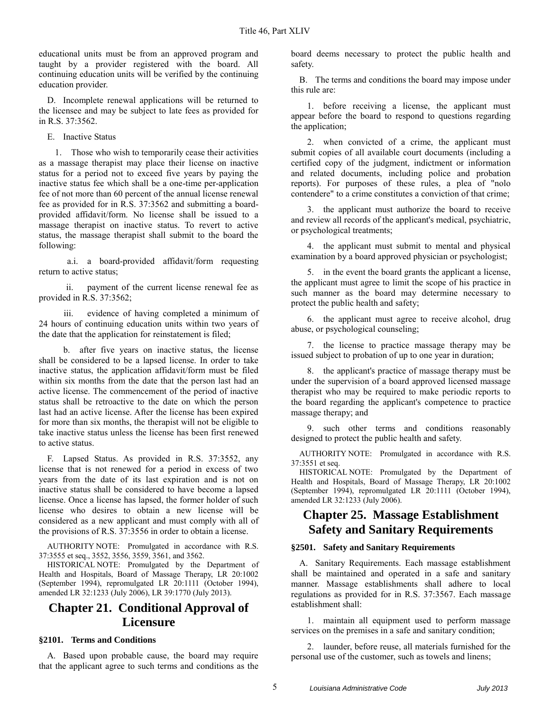educational units must be from an approved program and taught by a provider registered with the board. All continuing education units will be verified by the continuing education provider.

D. Incomplete renewal applications will be returned to the licensee and may be subject to late fees as provided for in R.S. 37:3562.

E. Inactive Status

1. Those who wish to temporarily cease their activities as a massage therapist may place their license on inactive status for a period not to exceed five years by paying the inactive status fee which shall be a one-time per-application fee of not more than 60 percent of the annual license renewal fee as provided for in R.S. 37:3562 and submitting a boardprovided affidavit/form. No license shall be issued to a massage therapist on inactive status. To revert to active status, the massage therapist shall submit to the board the following:

a.i. a board-provided affidavit/form requesting return to active status;

ii. payment of the current license renewal fee as provided in R.S. 37:3562;

iii. evidence of having completed a minimum of 24 hours of continuing education units within two years of the date that the application for reinstatement is filed;

b. after five years on inactive status, the license shall be considered to be a lapsed license. In order to take inactive status, the application affidavit/form must be filed within six months from the date that the person last had an active license. The commencement of the period of inactive status shall be retroactive to the date on which the person last had an active license. After the license has been expired for more than six months, the therapist will not be eligible to take inactive status unless the license has been first renewed to active status.

F. Lapsed Status. As provided in R.S. 37:3552, any license that is not renewed for a period in excess of two years from the date of its last expiration and is not on inactive status shall be considered to have become a lapsed license. Once a license has lapsed, the former holder of such license who desires to obtain a new license will be considered as a new applicant and must comply with all of the provisions of R.S. 37:3556 in order to obtain a license.

AUTHORITY NOTE: Promulgated in accordance with R.S. 37:3555 et seq., 3552, 3556, 3559, 3561, and 3562.

HISTORICAL NOTE: Promulgated by the Department of Health and Hospitals, Board of Massage Therapy, LR 20:1002 (September 1994), repromulgated LR 20:1111 (October 1994), amended LR 32:1233 (July 2006), LR 39:1770 (July 2013).

## <span id="page-6-0"></span>**Chapter 21. Conditional Approval of Licensure**

#### <span id="page-6-1"></span>**§2101. Terms and Conditions**

A. Based upon probable cause, the board may require that the applicant agree to such terms and conditions as the board deems necessary to protect the public health and safety.

B. The terms and conditions the board may impose under this rule are:

1. before receiving a license, the applicant must appear before the board to respond to questions regarding the application;

2. when convicted of a crime, the applicant must submit copies of all available court documents (including a certified copy of the judgment, indictment or information and related documents, including police and probation reports). For purposes of these rules, a plea of "nolo contendere" to a crime constitutes a conviction of that crime;

3. the applicant must authorize the board to receive and review all records of the applicant's medical, psychiatric, or psychological treatments;

4. the applicant must submit to mental and physical examination by a board approved physician or psychologist;

5. in the event the board grants the applicant a license, the applicant must agree to limit the scope of his practice in such manner as the board may determine necessary to protect the public health and safety;

6. the applicant must agree to receive alcohol, drug abuse, or psychological counseling;

7. the license to practice massage therapy may be issued subject to probation of up to one year in duration;

8. the applicant's practice of massage therapy must be under the supervision of a board approved licensed massage therapist who may be required to make periodic reports to the board regarding the applicant's competence to practice massage therapy; and

9. such other terms and conditions reasonably designed to protect the public health and safety.

AUTHORITY NOTE: Promulgated in accordance with R.S. 37:3551 et seq.

HISTORICAL NOTE: Promulgated by the Department of Health and Hospitals, Board of Massage Therapy, LR 20:1002 (September 1994), repromulgated LR 20:1111 (October 1994), amended LR 32:1233 (July 2006).

## <span id="page-6-2"></span>**Chapter 25. Massage Establishment Safety and Sanitary Requirements**

#### <span id="page-6-3"></span>**§2501. Safety and Sanitary Requirements**

A. Sanitary Requirements. Each massage establishment shall be maintained and operated in a safe and sanitary manner. Massage establishments shall adhere to local regulations as provided for in R.S. 37:3567. Each massage establishment shall:

1. maintain all equipment used to perform massage services on the premises in a safe and sanitary condition;

2. launder, before reuse, all materials furnished for the personal use of the customer, such as towels and linens;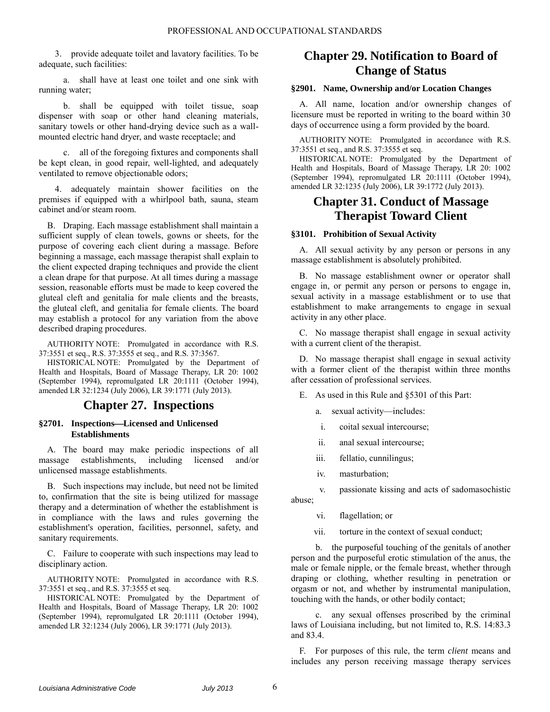3. provide adequate toilet and lavatory facilities. To be adequate, such facilities:

a. shall have at least one toilet and one sink with running water;

b. shall be equipped with toilet tissue, soap dispenser with soap or other hand cleaning materials, sanitary towels or other hand-drying device such as a wallmounted electric hand dryer, and waste receptacle; and

c. all of the foregoing fixtures and components shall be kept clean, in good repair, well-lighted, and adequately ventilated to remove objectionable odors;

4. adequately maintain shower facilities on the premises if equipped with a whirlpool bath, sauna, steam cabinet and/or steam room.

B. Draping. Each massage establishment shall maintain a sufficient supply of clean towels, gowns or sheets, for the purpose of covering each client during a massage. Before beginning a massage, each massage therapist shall explain to the client expected draping techniques and provide the client a clean drape for that purpose. At all times during a massage session, reasonable efforts must be made to keep covered the gluteal cleft and genitalia for male clients and the breasts, the gluteal cleft, and genitalia for female clients. The board may establish a protocol for any variation from the above described draping procedures.

AUTHORITY NOTE: Promulgated in accordance with R.S. 37:3551 et seq., R.S. 37:3555 et seq., and R.S. 37:3567.

HISTORICAL NOTE: Promulgated by the Department of Health and Hospitals, Board of Massage Therapy, LR 20: 1002 (September 1994), repromulgated LR 20:1111 (October 1994), amended LR 32:1234 (July 2006), LR 39:1771 (July 2013).

### **Chapter 27. Inspections**

#### <span id="page-7-1"></span><span id="page-7-0"></span>**§2701. InspectionsLicensed and Unlicensed Establishments**

A. The board may make periodic inspections of all massage establishments, including licensed and/or unlicensed massage establishments.

B. Such inspections may include, but need not be limited to, confirmation that the site is being utilized for massage therapy and a determination of whether the establishment is in compliance with the laws and rules governing the establishment's operation, facilities, personnel, safety, and sanitary requirements.

C. Failure to cooperate with such inspections may lead to disciplinary action.

AUTHORITY NOTE: Promulgated in accordance with R.S. 37:3551 et seq., and R.S. 37:3555 et seq.

HISTORICAL NOTE: Promulgated by the Department of Health and Hospitals, Board of Massage Therapy, LR 20: 1002 (September 1994), repromulgated LR 20:1111 (October 1994), amended LR 32:1234 (July 2006), LR 39:1771 (July 2013).

## <span id="page-7-2"></span>**Chapter 29. Notification to Board of Change of Status**

#### <span id="page-7-3"></span>**§2901. Name, Ownership and/or Location Changes**

A. All name, location and/or ownership changes of licensure must be reported in writing to the board within 30 days of occurrence using a form provided by the board.

AUTHORITY NOTE: Promulgated in accordance with R.S. 37:3551 et seq., and R.S. 37:3555 et seq.

HISTORICAL NOTE: Promulgated by the Department of Health and Hospitals, Board of Massage Therapy, LR 20: 1002 (September 1994), repromulgated LR 20:1111 (October 1994), amended LR 32:1235 (July 2006), LR 39:1772 (July 2013).

### <span id="page-7-4"></span>**Chapter 31. Conduct of Massage Therapist Toward Client**

#### <span id="page-7-5"></span>**§3101. Prohibition of Sexual Activity**

A. All sexual activity by any person or persons in any massage establishment is absolutely prohibited.

B. No massage establishment owner or operator shall engage in, or permit any person or persons to engage in, sexual activity in a massage establishment or to use that establishment to make arrangements to engage in sexual activity in any other place.

C. No massage therapist shall engage in sexual activity with a current client of the therapist.

D. No massage therapist shall engage in sexual activity with a former client of the therapist within three months after cessation of professional services.

- E. As used in this Rule and §5301 of this Part:
	- a. sexual activity—includes:
	- i. coital sexual intercourse;
	- ii. anal sexual intercourse;
	- iii. fellatio, cunnilingus;
	- iv. masturbation;

v. passionate kissing and acts of sadomasochistic abuse;

vi. flagellation; or

vii. torture in the context of sexual conduct;

b. the purposeful touching of the genitals of another person and the purposeful erotic stimulation of the anus, the male or female nipple, or the female breast, whether through draping or clothing, whether resulting in penetration or orgasm or not, and whether by instrumental manipulation, touching with the hands, or other bodily contact;

c. any sexual offenses proscribed by the criminal laws of Louisiana including, but not limited to, R.S. 14:83.3 and 83.4.

F. For purposes of this rule, the term *client* means and includes any person receiving massage therapy services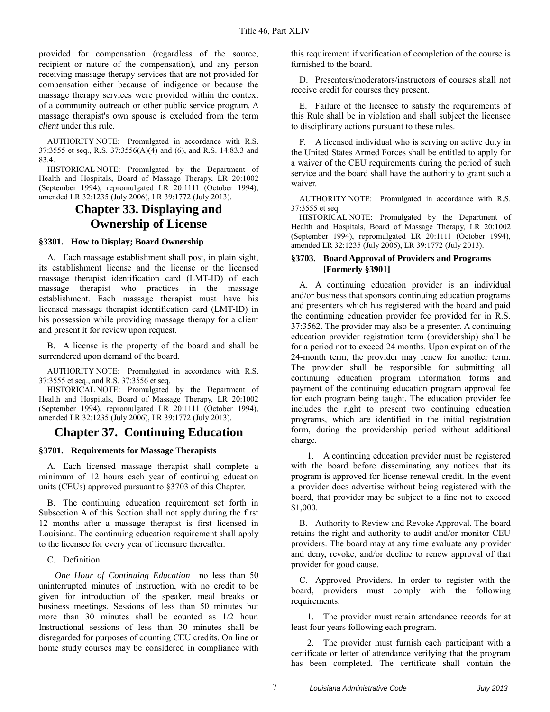provided for compensation (regardless of the source, recipient or nature of the compensation), and any person receiving massage therapy services that are not provided for compensation either because of indigence or because the massage therapy services were provided within the context of a community outreach or other public service program. A massage therapist's own spouse is excluded from the term *client* under this rule.

AUTHORITY NOTE: Promulgated in accordance with R.S. 37:3555 et seq., R.S. 37:3556(A)(4) and (6), and R.S. 14:83.3 and 83.4.

HISTORICAL NOTE: Promulgated by the Department of Health and Hospitals, Board of Massage Therapy, LR 20:1002 (September 1994), repromulgated LR 20:1111 (October 1994), amended LR 32:1235 (July 2006), LR 39:1772 (July 2013).

## **Chapter 33. Displaying and Ownership of License**

#### <span id="page-8-1"></span><span id="page-8-0"></span>**§3301. How to Display; Board Ownership**

A. Each massage establishment shall post, in plain sight, its establishment license and the license or the licensed massage therapist identification card (LMT-ID) of each massage therapist who practices in the massage establishment. Each massage therapist must have his licensed massage therapist identification card (LMT-ID) in his possession while providing massage therapy for a client and present it for review upon request.

B. A license is the property of the board and shall be surrendered upon demand of the board.

AUTHORITY NOTE: Promulgated in accordance with R.S. 37:3555 et seq., and R.S. 37:3556 et seq.

HISTORICAL NOTE: Promulgated by the Department of Health and Hospitals, Board of Massage Therapy, LR 20:1002 (September 1994), repromulgated LR 20:1111 (October 1994), amended LR 32:1235 (July 2006), LR 39:1772 (July 2013).

### <span id="page-8-2"></span>**Chapter 37. Continuing Education**

#### <span id="page-8-3"></span>**§3701. Requirements for Massage Therapists**

A. Each licensed massage therapist shall complete a minimum of 12 hours each year of continuing education units (CEUs) approved pursuant to §3703 of this Chapter.

B. The continuing education requirement set forth in Subsection A of this Section shall not apply during the first 12 months after a massage therapist is first licensed in Louisiana. The continuing education requirement shall apply to the licensee for every year of licensure thereafter.

#### C. Definition

*One Hour of Continuing Education*—no less than 50 uninterrupted minutes of instruction, with no credit to be given for introduction of the speaker, meal breaks or business meetings. Sessions of less than 50 minutes but more than 30 minutes shall be counted as  $1/2$  hour. Instructional sessions of less than 30 minutes shall be disregarded for purposes of counting CEU credits. On line or home study courses may be considered in compliance with this requirement if verification of completion of the course is furnished to the board.

D. Presenters/moderators/instructors of courses shall not receive credit for courses they present.

E. Failure of the licensee to satisfy the requirements of this Rule shall be in violation and shall subject the licensee to disciplinary actions pursuant to these rules.

F. A licensed individual who is serving on active duty in the United States Armed Forces shall be entitled to apply for a waiver of the CEU requirements during the period of such service and the board shall have the authority to grant such a waiver.

AUTHORITY NOTE: Promulgated in accordance with R.S. 37:3555 et seq.

HISTORICAL NOTE: Promulgated by the Department of Health and Hospitals, Board of Massage Therapy, LR 20:1002 (September 1994), repromulgated LR 20:1111 (October 1994), amended LR 32:1235 (July 2006), LR 39:1772 (July 2013).

#### <span id="page-8-4"></span>**§3703. Board Approval of Providers and Programs [Formerly §3901]**

A. A continuing education provider is an individual and/or business that sponsors continuing education programs and presenters which has registered with the board and paid the continuing education provider fee provided for in R.S. 37:3562. The provider may also be a presenter. A continuing education provider registration term (providership) shall be for a period not to exceed 24 months. Upon expiration of the 24-month term, the provider may renew for another term. The provider shall be responsible for submitting all continuing education program information forms and payment of the continuing education program approval fee for each program being taught. The education provider fee includes the right to present two continuing education programs, which are identified in the initial registration form, during the providership period without additional charge.

1. A continuing education provider must be registered with the board before disseminating any notices that its program is approved for license renewal credit. In the event a provider does advertise without being registered with the board, that provider may be subject to a fine not to exceed \$1,000.

B. Authority to Review and Revoke Approval. The board retains the right and authority to audit and/or monitor CEU providers. The board may at any time evaluate any provider and deny, revoke, and/or decline to renew approval of that provider for good cause.

C. Approved Providers. In order to register with the board, providers must comply with the following requirements.

1. The provider must retain attendance records for at least four years following each program.

2. The provider must furnish each participant with a certificate or letter of attendance verifying that the program has been completed. The certificate shall contain the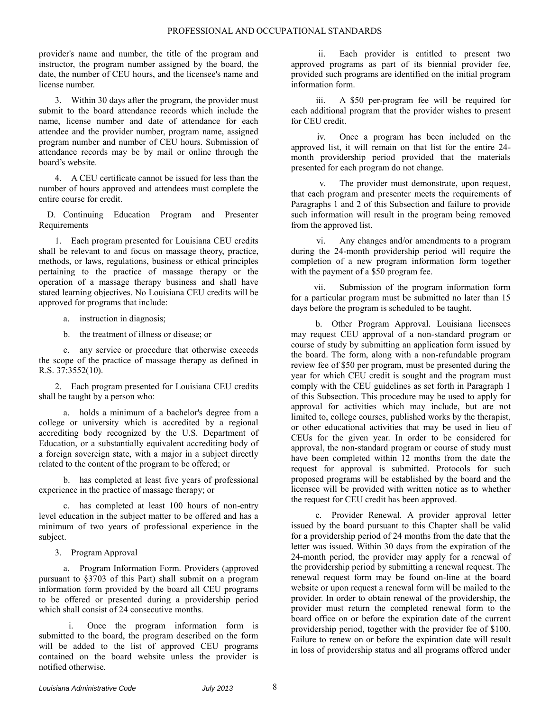provider's name and number, the title of the program and instructor, the program number assigned by the board, the date, the number of CEU hours, and the licensee's name and license number.

3. Within 30 days after the program, the provider must submit to the board attendance records which include the name, license number and date of attendance for each attendee and the provider number, program name, assigned program number and number of CEU hours. Submission of attendance records may be by mail or online through the board's website.

4. A CEU certificate cannot be issued for less than the number of hours approved and attendees must complete the entire course for credit.

D. Continuing Education Program and Presenter Requirements

1. Each program presented for Louisiana CEU credits shall be relevant to and focus on massage theory, practice, methods, or laws, regulations, business or ethical principles pertaining to the practice of massage therapy or the operation of a massage therapy business and shall have stated learning objectives. No Louisiana CEU credits will be approved for programs that include:

a. instruction in diagnosis;

b. the treatment of illness or disease; or

c. any service or procedure that otherwise exceeds the scope of the practice of massage therapy as defined in R.S. 37:3552(10).

2. Each program presented for Louisiana CEU credits shall be taught by a person who:

a. holds a minimum of a bachelor's degree from a college or university which is accredited by a regional accrediting body recognized by the U.S. Department of Education, or a substantially equivalent accrediting body of a foreign sovereign state, with a major in a subject directly related to the content of the program to be offered; or

b. has completed at least five years of professional experience in the practice of massage therapy; or

c. has completed at least 100 hours of non-entry level education in the subject matter to be offered and has a minimum of two years of professional experience in the subject.

3. Program Approval

a. Program Information Form. Providers (approved pursuant to §3703 of this Part) shall submit on a program information form provided by the board all CEU programs to be offered or presented during a providership period which shall consist of 24 consecutive months.

Once the program information form is submitted to the board, the program described on the form will be added to the list of approved CEU programs contained on the board website unless the provider is notified otherwise.

ii. Each provider is entitled to present two approved programs as part of its biennial provider fee, provided such programs are identified on the initial program information form.

iii. A \$50 per-program fee will be required for each additional program that the provider wishes to present for CEU credit.

iv. Once a program has been included on the approved list, it will remain on that list for the entire 24 month providership period provided that the materials presented for each program do not change.

The provider must demonstrate, upon request, that each program and presenter meets the requirements of Paragraphs 1 and 2 of this Subsection and failure to provide such information will result in the program being removed from the approved list.

vi. Any changes and/or amendments to a program during the 24-month providership period will require the completion of a new program information form together with the payment of a \$50 program fee.

vii. Submission of the program information form for a particular program must be submitted no later than 15 days before the program is scheduled to be taught.

b. Other Program Approval. Louisiana licensees may request CEU approval of a non-standard program or course of study by submitting an application form issued by the board. The form, along with a non-refundable program review fee of \$50 per program, must be presented during the year for which CEU credit is sought and the program must comply with the CEU guidelines as set forth in Paragraph 1 of this Subsection. This procedure may be used to apply for approval for activities which may include, but are not limited to, college courses, published works by the therapist, or other educational activities that may be used in lieu of CEUs for the given year. In order to be considered for approval, the non-standard program or course of study must have been completed within 12 months from the date the request for approval is submitted. Protocols for such proposed programs will be established by the board and the licensee will be provided with written notice as to whether the request for CEU credit has been approved.

c. Provider Renewal. A provider approval letter issued by the board pursuant to this Chapter shall be valid for a providership period of 24 months from the date that the letter was issued. Within 30 days from the expiration of the 24-month period, the provider may apply for a renewal of the providership period by submitting a renewal request. The renewal request form may be found on-line at the board website or upon request a renewal form will be mailed to the provider. In order to obtain renewal of the providership, the provider must return the completed renewal form to the board office on or before the expiration date of the current providership period, together with the provider fee of \$100. Failure to renew on or before the expiration date will result in loss of providership status and all programs offered under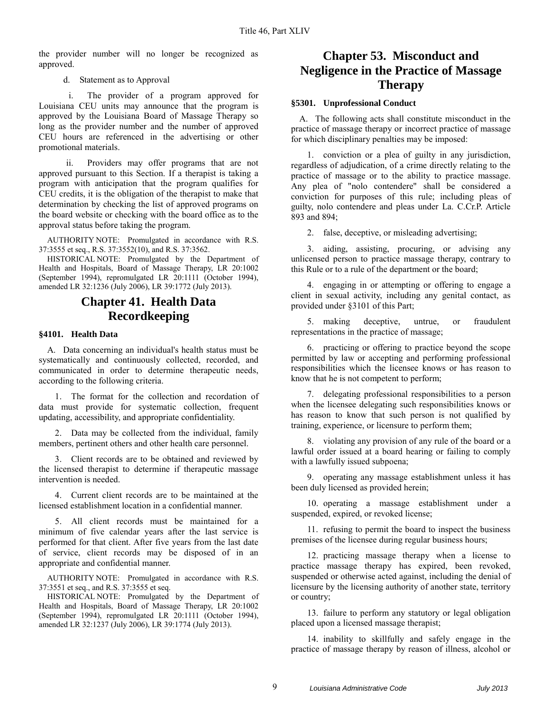the provider number will no longer be recognized as approved.

d. Statement as to Approval

i. The provider of a program approved for Louisiana CEU units may announce that the program is approved by the Louisiana Board of Massage Therapy so long as the provider number and the number of approved CEU hours are referenced in the advertising or other promotional materials.

ii. Providers may offer programs that are not approved pursuant to this Section. If a therapist is taking a program with anticipation that the program qualifies for CEU credits, it is the obligation of the therapist to make that determination by checking the list of approved programs on the board website or checking with the board office as to the approval status before taking the program.

AUTHORITY NOTE: Promulgated in accordance with R.S. 37:3555 et seq., R.S. 37:3552(10), and R.S. 37:3562.

HISTORICAL NOTE: Promulgated by the Department of Health and Hospitals, Board of Massage Therapy, LR 20:1002 (September 1994), repromulgated LR 20:1111 (October 1994), amended LR 32:1236 (July 2006), LR 39:1772 (July 2013).

## **Chapter 41. Health Data Recordkeeping**

#### <span id="page-10-1"></span><span id="page-10-0"></span>**§4101. Health Data**

A. Data concerning an individual's health status must be systematically and continuously collected, recorded, and communicated in order to determine therapeutic needs, according to the following criteria.

1. The format for the collection and recordation of data must provide for systematic collection, frequent updating, accessibility, and appropriate confidentiality.

2. Data may be collected from the individual, family members, pertinent others and other health care personnel.

3. Client records are to be obtained and reviewed by the licensed therapist to determine if therapeutic massage intervention is needed.

4. Current client records are to be maintained at the licensed establishment location in a confidential manner.

5. All client records must be maintained for a minimum of five calendar years after the last service is performed for that client. After five years from the last date of service, client records may be disposed of in an appropriate and confidential manner.

AUTHORITY NOTE: Promulgated in accordance with R.S. 37:3551 et seq., and R.S. 37:3555 et seq.

HISTORICAL NOTE: Promulgated by the Department of Health and Hospitals, Board of Massage Therapy, LR 20:1002 (September 1994), repromulgated LR 20:1111 (October 1994), amended LR 32:1237 (July 2006), LR 39:1774 (July 2013).

## <span id="page-10-2"></span>**Chapter 53. Misconduct and Negligence in the Practice of Massage Therapy**

#### <span id="page-10-3"></span>**§5301. Unprofessional Conduct**

A. The following acts shall constitute misconduct in the practice of massage therapy or incorrect practice of massage for which disciplinary penalties may be imposed:

1. conviction or a plea of guilty in any jurisdiction, regardless of adjudication, of a crime directly relating to the practice of massage or to the ability to practice massage. Any plea of "nolo contendere" shall be considered a conviction for purposes of this rule; including pleas of guilty, nolo contendere and pleas under La. C.Cr.P. Article 893 and 894;

2. false, deceptive, or misleading advertising;

3. aiding, assisting, procuring, or advising any unlicensed person to practice massage therapy, contrary to this Rule or to a rule of the department or the board;

4. engaging in or attempting or offering to engage a client in sexual activity, including any genital contact, as provided under §3101 of this Part;

5. making deceptive, untrue, or fraudulent representations in the practice of massage;

6. practicing or offering to practice beyond the scope permitted by law or accepting and performing professional responsibilities which the licensee knows or has reason to know that he is not competent to perform;

7. delegating professional responsibilities to a person when the licensee delegating such responsibilities knows or has reason to know that such person is not qualified by training, experience, or licensure to perform them;

8. violating any provision of any rule of the board or a lawful order issued at a board hearing or failing to comply with a lawfully issued subpoena;

9. operating any massage establishment unless it has been duly licensed as provided herein;

10. operating a massage establishment under a suspended, expired, or revoked license;

11. refusing to permit the board to inspect the business premises of the licensee during regular business hours;

12. practicing massage therapy when a license to practice massage therapy has expired, been revoked, suspended or otherwise acted against, including the denial of licensure by the licensing authority of another state, territory or country;

13. failure to perform any statutory or legal obligation placed upon a licensed massage therapist;

14. inability to skillfully and safely engage in the practice of massage therapy by reason of illness, alcohol or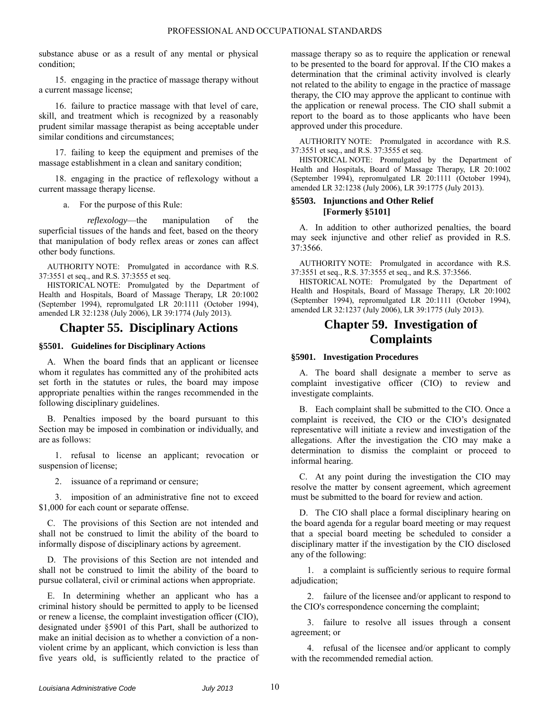substance abuse or as a result of any mental or physical condition;

15. engaging in the practice of massage therapy without a current massage license;

16. failure to practice massage with that level of care, skill, and treatment which is recognized by a reasonably prudent similar massage therapist as being acceptable under similar conditions and circumstances;

17. failing to keep the equipment and premises of the massage establishment in a clean and sanitary condition;

18. engaging in the practice of reflexology without a current massage therapy license.

a. For the purpose of this Rule:

*reflexology*—the manipulation of the superficial tissues of the hands and feet, based on the theory that manipulation of body reflex areas or zones can affect other body functions.

AUTHORITY NOTE: Promulgated in accordance with R.S. 37:3551 et seq., and R.S. 37:3555 et seq.

HISTORICAL NOTE: Promulgated by the Department of Health and Hospitals, Board of Massage Therapy, LR 20:1002 (September 1994), repromulgated LR 20:1111 (October 1994), amended LR 32:1238 (July 2006), LR 39:1774 (July 2013).

### **Chapter 55. Disciplinary Actions**

#### <span id="page-11-1"></span><span id="page-11-0"></span>**§5501. Guidelines for Disciplinary Actions**

A. When the board finds that an applicant or licensee whom it regulates has committed any of the prohibited acts set forth in the statutes or rules, the board may impose appropriate penalties within the ranges recommended in the following disciplinary guidelines.

B. Penalties imposed by the board pursuant to this Section may be imposed in combination or individually, and are as follows:

1. refusal to license an applicant; revocation or suspension of license;

2. issuance of a reprimand or censure;

3. imposition of an administrative fine not to exceed \$1,000 for each count or separate offense.

C. The provisions of this Section are not intended and shall not be construed to limit the ability of the board to informally dispose of disciplinary actions by agreement.

D. The provisions of this Section are not intended and shall not be construed to limit the ability of the board to pursue collateral, civil or criminal actions when appropriate.

E. In determining whether an applicant who has a criminal history should be permitted to apply to be licensed or renew a license, the complaint investigation officer (CIO), designated under §5901 of this Part, shall be authorized to make an initial decision as to whether a conviction of a nonviolent crime by an applicant, which conviction is less than five years old, is sufficiently related to the practice of massage therapy so as to require the application or renewal to be presented to the board for approval. If the CIO makes a determination that the criminal activity involved is clearly not related to the ability to engage in the practice of massage therapy, the CIO may approve the applicant to continue with the application or renewal process. The CIO shall submit a report to the board as to those applicants who have been approved under this procedure.

AUTHORITY NOTE: Promulgated in accordance with R.S. 37:3551 et seq., and R.S. 37:3555 et seq.

HISTORICAL NOTE: Promulgated by the Department of Health and Hospitals, Board of Massage Therapy, LR 20:1002 (September 1994), repromulgated LR 20:1111 (October 1994), amended LR 32:1238 (July 2006), LR 39:1775 (July 2013).

#### <span id="page-11-2"></span>**§5503. Injunctions and Other Relief [Formerly §5101]**

A. In addition to other authorized penalties, the board may seek injunctive and other relief as provided in R.S. 37:3566.

AUTHORITY NOTE: Promulgated in accordance with R.S. 37:3551 et seq., R.S. 37:3555 et seq., and R.S. 37:3566.

HISTORICAL NOTE: Promulgated by the Department of Health and Hospitals, Board of Massage Therapy, LR 20:1002 (September 1994), repromulgated LR 20:1111 (October 1994), amended LR 32:1237 (July 2006), LR 39:1775 (July 2013).

## **Chapter 59. Investigation of Complaints**

#### <span id="page-11-4"></span><span id="page-11-3"></span>**§5901. Investigation Procedures**

A. The board shall designate a member to serve as complaint investigative officer (CIO) to review and investigate complaints.

B. Each complaint shall be submitted to the CIO. Once a complaint is received, the CIO or the CIO's designated representative will initiate a review and investigation of the allegations. After the investigation the CIO may make a determination to dismiss the complaint or proceed to informal hearing.

C. At any point during the investigation the CIO may resolve the matter by consent agreement, which agreement must be submitted to the board for review and action.

D. The CIO shall place a formal disciplinary hearing on the board agenda for a regular board meeting or may request that a special board meeting be scheduled to consider a disciplinary matter if the investigation by the CIO disclosed any of the following:

1. a complaint is sufficiently serious to require formal adjudication;

2. failure of the licensee and/or applicant to respond to the CIO's correspondence concerning the complaint;

3. failure to resolve all issues through a consent agreement; or

4. refusal of the licensee and/or applicant to comply with the recommended remedial action.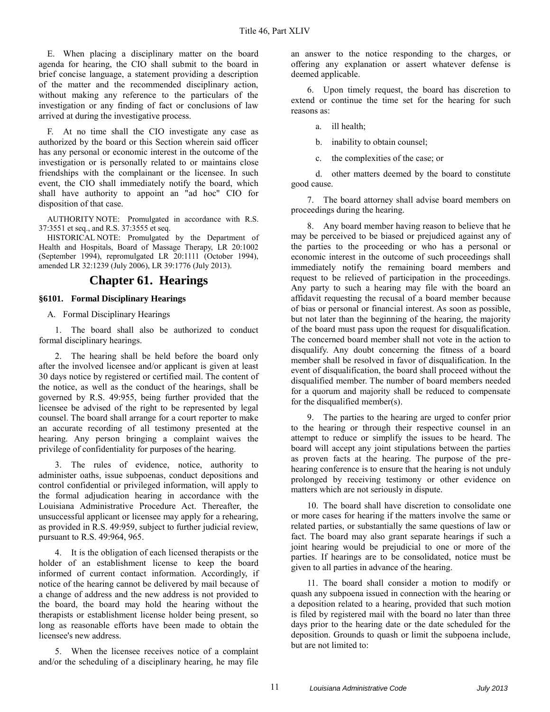E. When placing a disciplinary matter on the board agenda for hearing, the CIO shall submit to the board in brief concise language, a statement providing a description of the matter and the recommended disciplinary action, without making any reference to the particulars of the investigation or any finding of fact or conclusions of law arrived at during the investigative process.

F. At no time shall the CIO investigate any case as authorized by the board or this Section wherein said officer has any personal or economic interest in the outcome of the investigation or is personally related to or maintains close friendships with the complainant or the licensee. In such event, the CIO shall immediately notify the board, which shall have authority to appoint an "ad hoc" CIO for disposition of that case.

AUTHORITY NOTE: Promulgated in accordance with R.S. 37:3551 et seq., and R.S. 37:3555 et seq.

HISTORICAL NOTE: Promulgated by the Department of Health and Hospitals, Board of Massage Therapy, LR 20:1002 (September 1994), repromulgated LR 20:1111 (October 1994), amended LR 32:1239 (July 2006), LR 39:1776 (July 2013).

## **Chapter 61. Hearings**

#### <span id="page-12-1"></span><span id="page-12-0"></span>**§6101. Formal Disciplinary Hearings**

A. Formal Disciplinary Hearings

1. The board shall also be authorized to conduct formal disciplinary hearings.

2. The hearing shall be held before the board only after the involved licensee and/or applicant is given at least 30 days notice by registered or certified mail. The content of the notice, as well as the conduct of the hearings, shall be governed by R.S. 49:955, being further provided that the licensee be advised of the right to be represented by legal counsel. The board shall arrange for a court reporter to make an accurate recording of all testimony presented at the hearing. Any person bringing a complaint waives the privilege of confidentiality for purposes of the hearing.

3. The rules of evidence, notice, authority to administer oaths, issue subpoenas, conduct depositions and control confidential or privileged information, will apply to the formal adjudication hearing in accordance with the Louisiana Administrative Procedure Act. Thereafter, the unsuccessful applicant or licensee may apply for a rehearing, as provided in R.S. 49:959, subject to further judicial review, pursuant to R.S. 49:964, 965.

4. It is the obligation of each licensed therapists or the holder of an establishment license to keep the board informed of current contact information. Accordingly, if notice of the hearing cannot be delivered by mail because of a change of address and the new address is not provided to the board, the board may hold the hearing without the therapists or establishment license holder being present, so long as reasonable efforts have been made to obtain the licensee's new address.

5. When the licensee receives notice of a complaint and/or the scheduling of a disciplinary hearing, he may file

an answer to the notice responding to the charges, or offering any explanation or assert whatever defense is deemed applicable.

6. Upon timely request, the board has discretion to extend or continue the time set for the hearing for such reasons as:

a. ill health;

b. inability to obtain counsel;

c. the complexities of the case; or

d. other matters deemed by the board to constitute good cause.

7. The board attorney shall advise board members on proceedings during the hearing.

8. Any board member having reason to believe that he may be perceived to be biased or prejudiced against any of the parties to the proceeding or who has a personal or economic interest in the outcome of such proceedings shall immediately notify the remaining board members and request to be relieved of participation in the proceedings. Any party to such a hearing may file with the board an affidavit requesting the recusal of a board member because of bias or personal or financial interest. As soon as possible, but not later than the beginning of the hearing, the majority of the board must pass upon the request for disqualification. The concerned board member shall not vote in the action to disqualify. Any doubt concerning the fitness of a board member shall be resolved in favor of disqualification. In the event of disqualification, the board shall proceed without the disqualified member. The number of board members needed for a quorum and majority shall be reduced to compensate for the disqualified member(s).

9. The parties to the hearing are urged to confer prior to the hearing or through their respective counsel in an attempt to reduce or simplify the issues to be heard. The board will accept any joint stipulations between the parties as proven facts at the hearing. The purpose of the prehearing conference is to ensure that the hearing is not unduly prolonged by receiving testimony or other evidence on matters which are not seriously in dispute.

10. The board shall have discretion to consolidate one or more cases for hearing if the matters involve the same or related parties, or substantially the same questions of law or fact. The board may also grant separate hearings if such a joint hearing would be prejudicial to one or more of the parties. If hearings are to be consolidated, notice must be given to all parties in advance of the hearing.

11. The board shall consider a motion to modify or quash any subpoena issued in connection with the hearing or a deposition related to a hearing, provided that such motion is filed by registered mail with the board no later than three days prior to the hearing date or the date scheduled for the deposition. Grounds to quash or limit the subpoena include, but are not limited to: